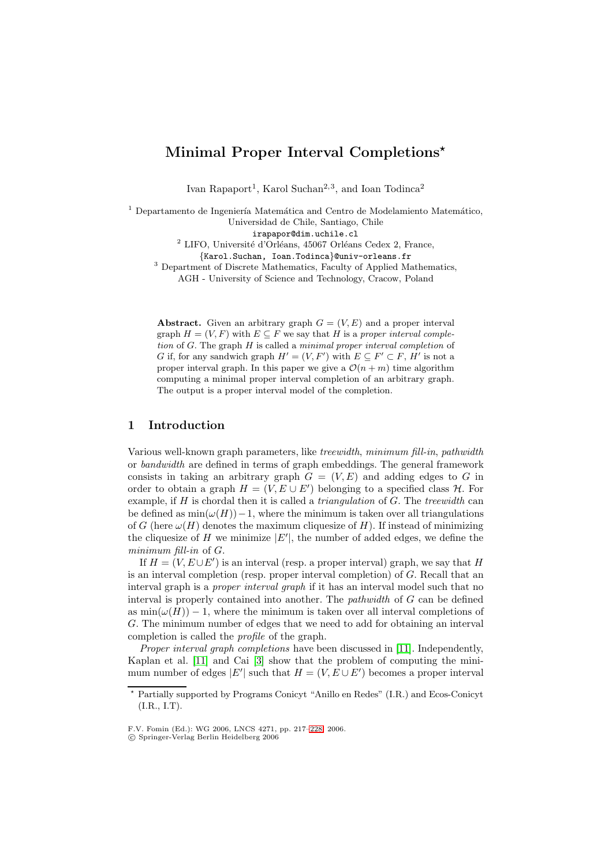# **Minimal Proper Interval Completions***-*

Ivan Rapaport<sup>1</sup>, Karol Suchan<sup>2,3</sup>, and Ioan Todinca<sup>2</sup>

<sup>1</sup> Departamento de Ingeniería Matemática and Centro de Modelamiento Matemático, Universidad de Chile, Santiago, Chile irapapor@dim.uchile.cl

 $2$  LIFO, Université d'Orléans, 45067 Orléans Cedex 2, France,

{Karol.Suchan, Ioan.Todinca}@univ-orleans.fr <sup>3</sup> Department of Discrete Mathematics, Faculty of Applied Mathematics,

AGH - University of Science and Technology, Cracow, Poland

**Abstract.** Given an arbitrary graph  $G = (V, E)$  and a proper interval graph  $H = (V, F)$  with  $E \subseteq F$  we say that H is a *proper interval completion* of G. The graph H is called a *minimal proper interval completion* of G if, for any sandwich graph  $H' = (V, F')$  with  $E \subseteq F' \subseteq F$ , H' is not a<br>proper interval graph. In this paper we give a  $O(n+m)$  time algorithm proper interval graph. In this paper we give a  $\mathcal{O}(n+m)$  time algorithm computing a minimal proper interval completion of an arbitrary graph. The output is a proper interval model of the completion.

# **1 Introduction**

Various well-known graph parameters, like *treewidth*, *minimum fill-in*, *pathwidth* or *bandwidth* are defined in terms of graph embeddings. The general framework consists in taking an arbitrary graph  $G = (V, E)$  and adding edges to G in order to obtain a graph  $H = (V, E \cup E')$  belonging to a specified class  $H$ . For example, if H is chordal then it is called a *triangulation* of G. The *treewidth* can be defined as  $\min(\omega(H))-1$ , where the minimum is taken over all triangulations of G (here  $\omega(H)$  denotes the maximum cliquesize of H). If instead of minimizing the cliquesize of H we minimize  $|E'|$ , the number of added edges, we define the *minimum fill-in* of G.

If  $H = (V, E \cup E')$  is an interval (resp. a proper interval) graph, we say that H is an interval completion (resp. proper interval completion) of G. Recall that an interval graph is a *proper interval graph* if it has an interval model such that no interval is properly contained into another. The *pathwidth* of G can be defined as  $\min(\omega(H)) - 1$ , where the minimum is taken over all interval completions of G. The minimum number of edges that we need to add for obtaining an interval completion is called the *profile* of the graph.

*Proper interval graph completions* have been discussed in [\[11\]](#page-11-0). Independently, Kaplan et al. [\[11\]](#page-11-0) and Cai [\[3\]](#page-10-0) show that the problem of computing the minimum number of edges  $|E'|$  such that  $H = (V, E \cup E')$  becomes a proper interval

 $\star$  Partially supported by Programs Conicyt "Anillo en Redes" (I.R.) and Ecos-Conicyt (I.R., I.T).

F.V. Fomin (Ed.): WG 2006, LNCS 4271, pp. 217[–228,](#page-10-1) 2006.

c Springer-Verlag Berlin Heidelberg 2006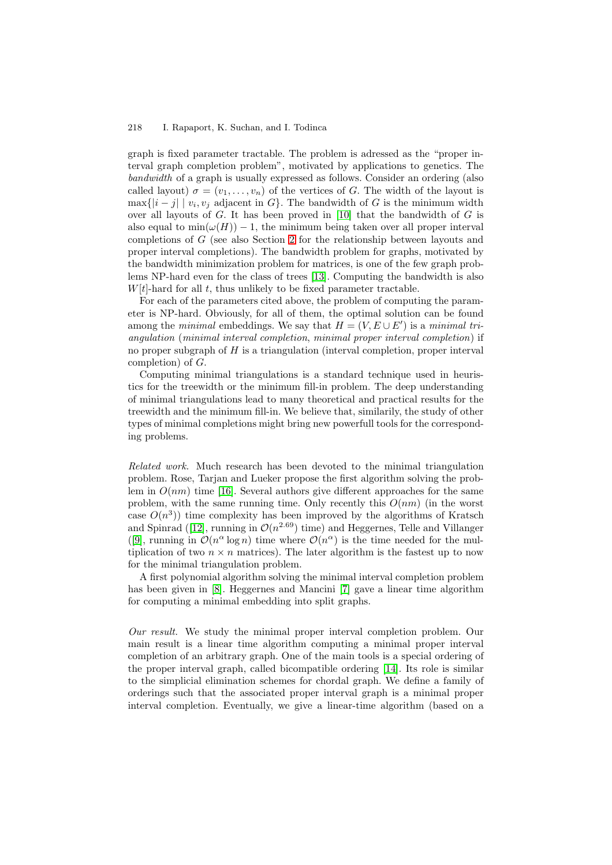graph is fixed parameter tractable. The problem is adressed as the "proper interval graph completion problem", motivated by applications to genetics. The *bandwidth* of a graph is usually expressed as follows. Consider an ordering (also called layout)  $\sigma = (v_1, \ldots, v_n)$  of the vertices of G. The width of the layout is  $\max\{|i-j| \mid v_i, v_j\}$  adjacent in  $G\}$ . The bandwidth of G is the minimum width over all layouts of  $G$ . It has been proved in [\[10\]](#page-10-2) that the bandwidth of  $G$  is also equal to  $min(\omega(H)) - 1$ , the minimum being taken over all proper interval completions of G (see also Section [2](#page-2-0) for the relationship between layouts and proper interval completions). The bandwidth problem for graphs, motivated by the bandwidth minimization problem for matrices, is one of the few graph problems NP-hard even for the class of trees [\[13\]](#page-11-1). Computing the bandwidth is also  $W[t]$ -hard for all t, thus unlikely to be fixed parameter tractable.

For each of the parameters cited above, the problem of computing the parameter is NP-hard. Obviously, for all of them, the optimal solution can be found among the *minimal* embeddings. We say that  $H = (V, E \cup E')$  is a *minimal triangulation* (*minimal interval completion*, *minimal proper interval completion*) if no proper subgraph of  $H$  is a triangulation (interval completion, proper interval completion) of G.

Computing minimal triangulations is a standard technique used in heuristics for the treewidth or the minimum fill-in problem. The deep understanding of minimal triangulations lead to many theoretical and practical results for the treewidth and the minimum fill-in. We believe that, similarily, the study of other types of minimal completions might bring new powerfull tools for the corresponding problems.

*Related work.* Much research has been devoted to the minimal triangulation problem. Rose, Tarjan and Lueker propose the first algorithm solving the problem in  $O(nm)$  time [\[16\]](#page-11-2). Several authors give different approaches for the same problem, with the same running time. Only recently this  $O(nm)$  (in the worst case  $O(n^3)$  time complexity has been improved by the algorithms of Kratsch and Spinrad ([\[12\]](#page-11-3), running in  $\mathcal{O}(n^{2.69})$  time) and Heggernes, Telle and Villanger ([\[9\]](#page-10-3), running in  $\mathcal{O}(n^{\alpha} \log n)$  time where  $\mathcal{O}(n^{\alpha})$  is the time needed for the multiplication of two  $n \times n$  matrices). The later algorithm is the fastest up to now for the minimal triangulation problem.

A first polynomial algorithm solving the minimal interval completion problem has been given in [\[8\]](#page-10-4). Heggernes and Mancini [\[7\]](#page-10-5) gave a linear time algorithm for computing a minimal embedding into split graphs.

*Our result.* We study the minimal proper interval completion problem. Our main result is a linear time algorithm computing a minimal proper interval completion of an arbitrary graph. One of the main tools is a special ordering of the proper interval graph, called bicompatible ordering [\[14\]](#page-11-4). Its role is similar to the simplicial elimination schemes for chordal graph. We define a family of orderings such that the associated proper interval graph is a minimal proper interval completion. Eventually, we give a linear-time algorithm (based on a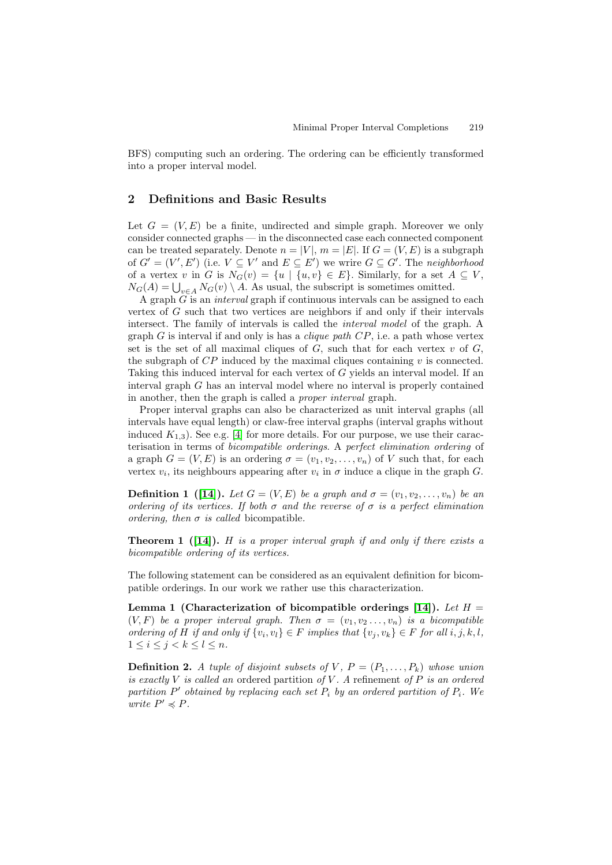BFS) computing such an ordering. The ordering can be efficiently transformed into a proper interval model.

# <span id="page-2-0"></span>**2 Definitions and Basic Results**

Let  $G = (V, E)$  be a finite, undirected and simple graph. Moreover we only consider connected graphs — in the disconnected case each connected component can be treated separately. Denote  $n = |V|$ ,  $m = |E|$ . If  $G = (V, E)$  is a subgraph of  $G' = (V', E')$  (i.e.  $V \subseteq V'$  and  $E \subseteq E'$ ) we wrire  $G \subseteq G'$ . The *neighborhood* of a vertex v in G is  $N_G(v) = \{u \mid \{u, v\} \in E\}$ . Similarly, for a set  $A \subseteq V$ ,  $N_G(A) = \bigcup_{v \in A} N_G(v) \setminus A$ . As usual, the subscript is sometimes omitted.

A graph G is an *interval* graph if continuous intervals can be assigned to each vertex of  $G$  such that two vertices are neighbors if and only if their intervals intersect. The family of intervals is called the *interval model* of the graph. A graph G is interval if and only is has a *clique path* CP, i.e. a path whose vertex set is the set of all maximal cliques of  $G$ , such that for each vertex  $v$  of  $G$ , the subgraph of  $\mathbb{CP}$  induced by the maximal cliques containing  $v$  is connected. Taking this induced interval for each vertex of G yields an interval model. If an interval graph G has an interval model where no interval is properly contained in another, then the graph is called a *proper interval* graph.

Proper interval graphs can also be characterized as unit interval graphs (all intervals have equal length) or claw-free interval graphs (interval graphs without induced  $K_{1,3}$ ). See e.g. [\[4\]](#page-10-6) for more details. For our purpose, we use their caracterisation in terms of *bicompatible orderings*. A *perfect elimination ordering* of a graph  $G = (V, E)$  is an ordering  $\sigma = (v_1, v_2, \ldots, v_n)$  of V such that, for each vertex  $v_i$ , its neighbours appearing after  $v_i$  in  $\sigma$  induce a clique in the graph G.

**Definition 1** ([\[14\]](#page-11-4)). Let  $G = (V, E)$  be a graph and  $\sigma = (v_1, v_2, \ldots, v_n)$  be an *ordering of its vertices. If both* σ *and the reverse of* σ *is a perfect elimination ordering, then*  $\sigma$  *is called* bicompatible.

<span id="page-2-2"></span>**Theorem 1 ([\[14\]](#page-11-4)).** H *is a proper interval graph if and only if there exists a bicompatible ordering of its vertices.*

<span id="page-2-1"></span>The following statement can be considered as an equivalent definition for bicompatible orderings. In our work we rather use this characterization.

**Lemma 1** (Characterization of bicompatible orderings [\[14\]](#page-11-4)). Let  $H =$  $(V, F)$  *be a proper interval graph. Then*  $\sigma = (v_1, v_2, \ldots, v_n)$  *is a bicompatible ordering of* H *if and only if*  $\{v_i, v_l\} \in F$  *implies that*  $\{v_j, v_k\} \in F$  *for all*  $i, j, k, l$ *,*  $1 \leq i \leq j < k \leq l \leq n$ .

**Definition 2.** *A tuple of disjoint subsets of*  $V, P = (P_1, \ldots, P_k)$  whose union *is exactly* V *is called an* ordered partition *of* V *. A* refinement *of* P *is an ordered*  $partition P'$  *obtained by replacing each set*  $P_i$  *by an ordered partition of*  $P_i$ *. We write*  $P' \preccurlyeq P$ .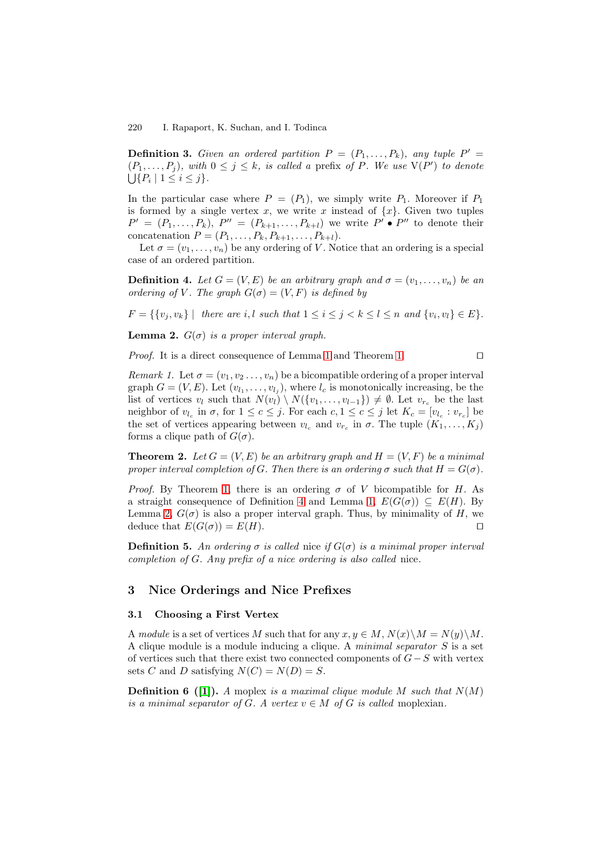**Definition 3.** *Given an ordered partition*  $P = (P_1, \ldots, P_k)$ *, any tuple*  $P' =$  $(P_1, \ldots, P_j)$ *, with*  $0 \leq j \leq k$ *, is called a* prefix of P. We use  $V(P')$  to denote  $\bigcup \{ P_i \mid 1 \leq i \leq j \}.$ 

In the particular case where  $P = (P_1)$ , we simply write  $P_1$ . Moreover if  $P_1$ is formed by a single vertex x, we write x instead of  $\{x\}$ . Given two tuples  $P' = (P_1, \ldots, P_k), P'' = (P_{k+1}, \ldots, P_{k+l})$  we write  $P' \bullet P''$  to denote their concatenation  $P = (P_1, ..., P_k, P_{k+1}, ..., P_{k+l}).$ 

<span id="page-3-0"></span>Let  $\sigma = (v_1, \ldots, v_n)$  be any ordering of V. Notice that an ordering is a special case of an ordered partition.

**Definition 4.** Let  $G = (V, E)$  be an arbitrary graph and  $\sigma = (v_1, \ldots, v_n)$  be an *ordering of* V. The graph  $G(\sigma) = (V, F)$  *is defined by* 

 $F = \{ \{v_i, v_k\} \mid \text{ there are } i, l \text{ such that } 1 \leq i \leq j < k \leq l \leq n \text{ and } \{v_i, v_l\} \in E \}.$ 

<span id="page-3-1"></span>**Lemma 2.**  $G(\sigma)$  *is a proper interval graph.* 

<span id="page-3-3"></span>*Proof.* It is a direct consequence of Lemma [1](#page-2-1) and Theorem [1.](#page-2-2)

*Remark 1.* Let  $\sigma = (v_1, v_2, \ldots, v_n)$  be a bicompatible ordering of a proper interval graph  $G = (V, E)$ . Let  $(v_{l_1}, \ldots, v_{l_i})$ , where  $l_c$  is monotonically increasing, be the list of vertices  $v_l$  such that  $N(v_l) \setminus N(\{v_1,\ldots,v_{l-1}\}) \neq \emptyset$ . Let  $v_{r_c}$  be the last neighbor of  $v_{l_c}$  in  $\sigma$ , for  $1 \leq c \leq j$ . For each  $c, 1 \leq c \leq j$  let  $K_c = [v_{l_c} : v_{r_c}]$  be the set of vertices appearing between  $v_{l_c}$  and  $v_{r_c}$  in  $\sigma$ . The tuple  $(K_1, \ldots, K_i)$ forms a clique path of  $G(\sigma)$ .

**Theorem 2.** Let  $G = (V, E)$  be an arbitrary graph and  $H = (V, F)$  be a minimal *proper interval completion of G. Then there is an ordering*  $\sigma$  *such that*  $H = G(\sigma)$ *.* 

*Proof.* By Theorem [1,](#page-2-2) there is an ordering  $\sigma$  of V bicompatible for H. As a straight consequence of Definition [4](#page-3-0) and Lemma [1,](#page-2-1)  $E(G(\sigma)) \subseteq E(H)$ . By Lemma [2,](#page-3-1)  $G(\sigma)$  is also a proper interval graph. Thus, by minimality of H, we deduce that  $E(G(\sigma)) = E(H)$ .

**Definition 5.** An ordering  $\sigma$  is called nice if  $G(\sigma)$  is a minimal proper interval *completion of* G*. Any prefix of a nice ordering is also called* nice*.*

## **3 Nice Orderings and Nice Prefixes**

## **3.1 Choosing a First Vertex**

A *module* is a set of vertices M such that for any  $x, y \in M$ ,  $N(x) \setminus M = N(y) \setminus M$ . A clique module is a module inducing a clique. A *minimal separator* S is a set of vertices such that there exist two connected components of  $G-S$  with vertex sets C and D satisfying  $N(C) = N(D) = S$ .

<span id="page-3-2"></span>**Definition 6 (11).** *A* moplex *is a maximal clique module M such that*  $N(M)$ *is a minimal separator of G. A vertex*  $v \in M$  *of G is called* moplexian.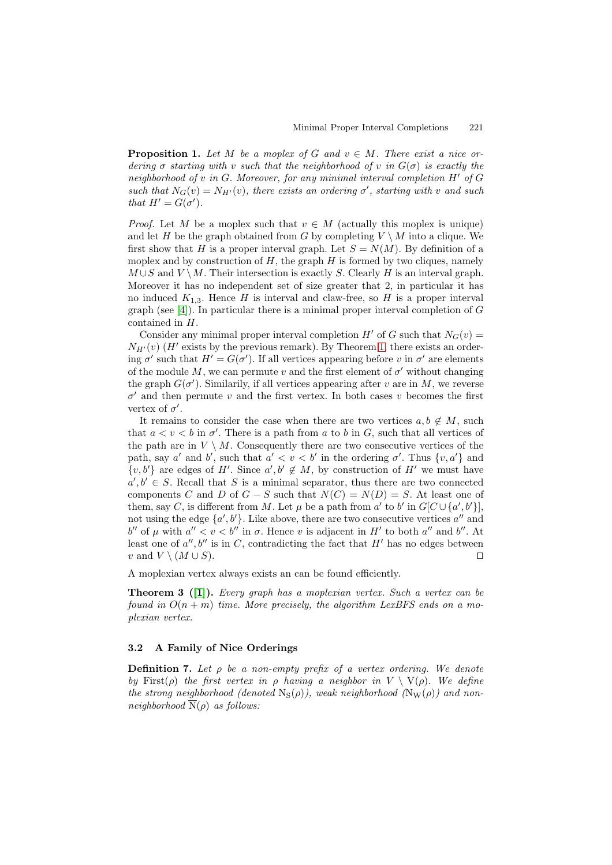**Proposition 1.** Let M be a moplex of G and  $v \in M$ . There exist a nice or*dering*  $\sigma$  *starting with* v *such that the neighborhood of* v *in*  $G(\sigma)$  *is exactly the neighborhood of* v *in* G*. Moreover, for any minimal interval completion* H- *of* G such that  $N_G(v) = N_{H'}(v)$ , there exists an ordering  $\sigma'$ , starting with v and such *that*  $H' = G(\sigma')$ *.* 

*Proof.* Let M be a moplex such that  $v \in M$  (actually this moplex is unique) and let H be the graph obtained from G by completing  $V \setminus M$  into a clique. We first show that H is a proper interval graph. Let  $S = N(M)$ . By definition of a moplex and by construction of  $H$ , the graph  $H$  is formed by two cliques, namely  $M \cup S$  and  $V \setminus M$ . Their intersection is exactly S. Clearly H is an interval graph. Moreover it has no independent set of size greater that 2, in particular it has no induced  $K_{1,3}$ . Hence H is interval and claw-free, so H is a proper interval graph (see [\[4\]](#page-10-6)). In particular there is a minimal proper interval completion of  $G$ contained in H.

Consider any minimal proper interval completion  $H'$  of G such that  $N_G(v)$  =  $N_{H'}(v)$  (H' exists by the previous remark). By Theorem [1,](#page-2-2) there exists an ordering  $\sigma'$  such that  $H' = G(\sigma')$ . If all vertices appearing before v in  $\sigma'$  are elements of the module M, we can permute v and the first element of  $\sigma'$  without changing the graph  $G(\sigma')$ . Similarily, if all vertices appearing after v are in M, we reverse  $\sigma'$  and then permute v and the first vertex. In both cases v becomes the first vertex of  $\sigma'$ .

It remains to consider the case when there are two vertices  $a, b \notin M$ , such that  $a < v < b$  in  $\sigma'$ . There is a path from a to b in G, such that all vertices of the path are in  $V \setminus M$ . Consequently there are two consecutive vertices of the path, say a' and b', such that  $a' < v < b'$  in the ordering  $\sigma'$ . Thus  $\{v, a'\}$  and  $\{v, b'\}$  are edges of H'. Since  $a', b' \notin M$ , by construction of H' we must have  $a', b' \in S$ . Recall that S is a minimal separator, thus there are two connected components C and D of  $G - S$  such that  $N(C) = N(D) = S$ . At least one of them, say C, is different from M. Let  $\mu$  be a path from a' to b' in  $G[C\cup\{a',b'\}]$ , not using the edge  $\{a', b'\}$ . Like above, there are two consecutive vertices  $a''$  and b'' of  $\mu$  with  $a'' < v < b''$  in  $\sigma$ . Hence v is adjacent in H' to both  $a''$  and b''. At least one of  $a'', b''$  is in C, contradicting the fact that H' has no edges between v and  $V \setminus (M \cup S)$ .

A moplexian vertex always exists an can be found efficiently.

**Theorem 3 ([\[1\]](#page-10-7)).** *Every graph has a moplexian vertex. Such a vertex can be found in*  $O(n+m)$  *time. More precisely, the algorithm LexBFS ends on a moplexian vertex.*

## **3.2 A Family of Nice Orderings**

**Definition 7.** *Let* ρ *be a non-empty prefix of a vertex ordering. We denote by* First( $\rho$ ) *the first vertex in*  $\rho$  *having a neighbor in*  $V \setminus V(\rho)$ *. We define the strong neighborhood (denoted*  $N_S(\rho)$ ), weak neighborhood  $(N_W(\rho))$  and non*neighborhood*  $\overline{N}(\rho)$  *as follows:*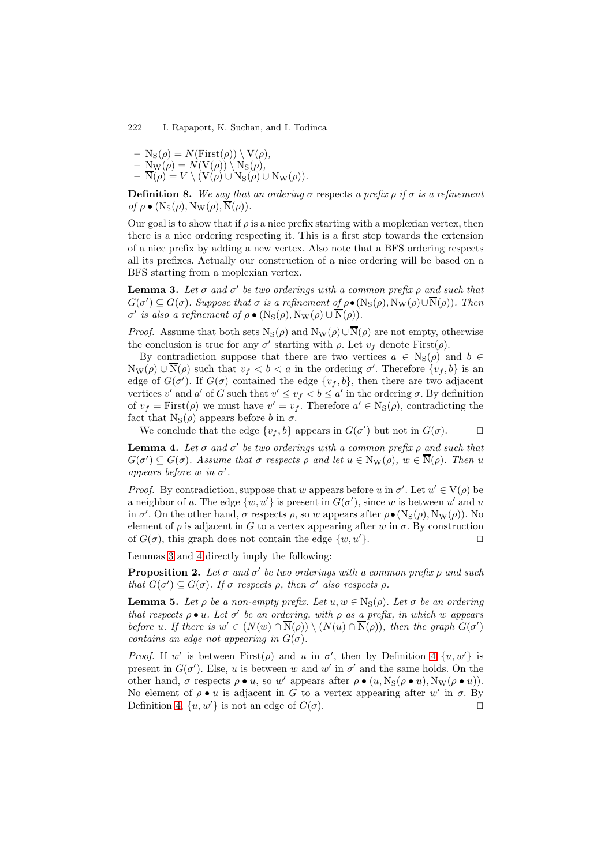$- N_S(\rho) = N(First(\rho)) \setminus V(\rho),$  $- \underline{\mathrm{N}}_{\mathrm{W}}(\rho) = N(\mathrm{V}(\rho)) \setminus \mathrm{N}_{\mathrm{S}}(\rho),$  $- N(\rho) = V \setminus (V(\rho) \cup N_S(\rho) \cup N_W(\rho)).$ 

**Definition 8.** *We say that an ordering*  $\sigma$  respects *a prefix*  $\rho$  *if*  $\sigma$  *is a refinement of*  $\rho \bullet (N_S(\rho), N_W(\rho), \overline{N}(\rho)).$ 

Our goal is to show that if  $\rho$  is a nice prefix starting with a moplexian vertex, then there is a nice ordering respecting it. This is a first step towards the extension of a nice prefix by adding a new vertex. Also note that a BFS ordering respects all its prefixes. Actually our construction of a nice ordering will be based on a BFS starting from a moplexian vertex.

<span id="page-5-0"></span>**Lemma 3.** Let  $\sigma$  and  $\sigma'$  be two orderings with a common prefix  $\rho$  and such that  $G(\sigma') \subseteq G(\sigma)$ *. Suppose that*  $\sigma$  *is a refinement of*  $\rho \bullet (N_S(\rho), N_W(\rho) \cup N(\rho))$ *. Then*  $\sigma'$  is also a refinement of  $\rho \bullet (N_S(\rho), N_W(\rho) \cup N(\rho)).$ 

*Proof.* Assume that both sets  $N_S(\rho)$  and  $N_W(\rho) \cup \overline{N}(\rho)$  are not empty, otherwise the conclusion is true for any  $\sigma'$  starting with  $\rho$ . Let  $v_f$  denote First $(\rho)$ .

By contradiction suppose that there are two vertices  $a \in N_S(\rho)$  and  $b \in$  $N_W(\rho) \cup N(\rho)$  such that  $v_f < b < a$  in the ordering  $\sigma'$ . Therefore  $\{v_f, b\}$  is an edge of  $G(\sigma')$ . If  $G(\sigma)$  contained the edge  $\{v_f, b\}$ , then there are two adjacent vertices v' and a' of G such that  $v' \le v_f < b \le a'$  in the ordering  $\sigma$ . By definition of  $v_f = \text{First}(\rho)$  we must have  $v' = v_f$ . Therefore  $a' \in N_S(\rho)$ , contradicting the fact that  $N_S(\rho)$  appears before b in  $\sigma$ .

We conclude that the edge  $\{v_f, b\}$  appears in  $G(\sigma')$  but not in  $G(\sigma)$ .

<span id="page-5-1"></span>**Lemma 4.** Let  $\sigma$  and  $\sigma'$  be two orderings with a common prefix  $\rho$  and such that  $G(\sigma') \subseteq G(\sigma)$ . Assume that  $\sigma$  respects  $\rho$  and let  $u \in N_W(\rho)$ ,  $w \in N(\rho)$ . Then u *appears before* w in  $\sigma'$ .

*Proof.* By contradiction, suppose that w appears before u in  $\sigma'$ . Let  $u' \in V(\rho)$  be a neighbor of u. The edge  $\{w, u'\}$  is present in  $G(\sigma')$ , since w is between u' and u in  $\sigma'$ . On the other hand,  $\sigma$  respects  $\rho$ , so w appears after  $\rho \bullet (N_S(\rho), N_W(\rho))$ . No element of  $\rho$  is adjacent in G to a vertex appearing after w in  $\sigma$ . By construction of  $G(\sigma)$ , this graph does not contain the edge  $\{w, u\}$ }.

<span id="page-5-2"></span>Lemmas [3](#page-5-0) and [4](#page-5-1) directly imply the following:

**Proposition 2.** Let  $\sigma$  and  $\sigma'$  be two orderings with a common prefix  $\rho$  and such *that*  $G(\sigma') \subseteq G(\sigma)$ *. If*  $\sigma$  *respects*  $\rho$ *, then*  $\sigma'$  *also respects*  $\rho$ *.* 

<span id="page-5-3"></span>**Lemma 5.** Let  $\rho$  be a non-empty prefix. Let  $u, w \in N_S(\rho)$ . Let  $\sigma$  be an ordering *that respects*  $\rho \bullet u$ . Let  $\sigma'$  be an ordering, with  $\rho$  as a prefix, in which w appears *before* u. If there is  $w' \in (N(w) \cap N(\rho)) \setminus (N(u) \cap N(\rho))$ , then the graph  $G(\sigma')$ *contains an edge not appearing in*  $G(\sigma)$ *.* 

*Proof.* If w' is between  $First(\rho)$  and u in  $\sigma'$ , then by Definition [4](#page-3-0)  $\{u, w'\}$  is present in  $G(\sigma')$ . Else, u is between w and w' in  $\sigma'$  and the same holds. On the other hand,  $\sigma$  respects  $\rho \bullet u$ , so w' appears after  $\rho \bullet (u, \text{Ns}(\rho \bullet u), \text{N}_W(\rho \bullet u)).$ No element of  $\rho \bullet u$  is adjacent in G to a vertex appearing after w' in  $\sigma$ . By Definition [4,](#page-3-0)  $\{u, w'\}$  is not an edge of  $G(\sigma)$ .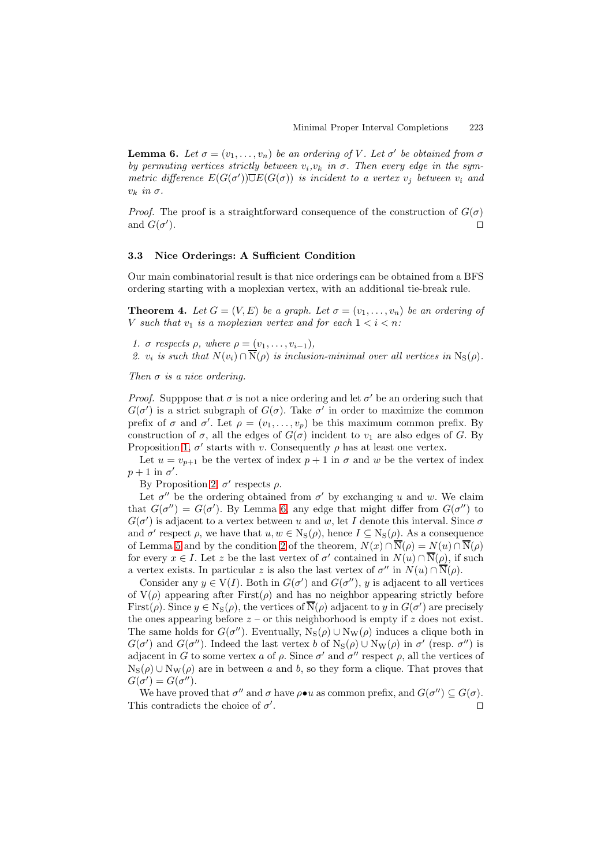<span id="page-6-0"></span>**Lemma 6.** Let  $\sigma = (v_1, \ldots, v_n)$  be an ordering of V. Let  $\sigma'$  be obtained from  $\sigma$ *by permuting vertices strictly between*  $v_i, v_k$  *in*  $\sigma$ . Then every edge *in the sym* $metric$  difference  $E(G(\sigma'))\overline{\cup}E(G(\sigma))$  *is incident to a vertex*  $v_j$  *between*  $v_i$  *and*  $v_k$  *in*  $\sigma$ .

*Proof.* The proof is a straightforward consequence of the construction of  $G(\sigma)$ and  $G(\sigma')$ ).

### **3.3 Nice Orderings: A Sufficient Condition**

<span id="page-6-2"></span>Our main combinatorial result is that nice orderings can be obtained from a BFS ordering starting with a moplexian vertex, with an additional tie-break rule.

**Theorem 4.** Let  $G = (V, E)$  be a graph. Let  $\sigma = (v_1, \ldots, v_n)$  be an ordering of V such that  $v_1$  is a moplexian vertex and for each  $1 < i < n$ :

<span id="page-6-1"></span>*1.*  $\sigma$  *respects*  $\rho$ *, where*  $\rho = (v_1, \ldots, v_{i-1})$ *,* 

2.  $v_i$  *is such that*  $N(v_i) \cap \overline{N}(\rho)$  *is inclusion-minimal over all vertices in*  $N_S(\rho)$ *.* 

*Then* σ *is a nice ordering.*

*Proof.* Supppose that  $\sigma$  is not a nice ordering and let  $\sigma'$  be an ordering such that  $G(\sigma')$  is a strict subgraph of  $G(\sigma)$ . Take  $\sigma'$  in order to maximize the common prefix of  $\sigma$  and  $\sigma'$ . Let  $\rho = (v_1, \ldots, v_p)$  be this maximum common prefix. By construction of  $\sigma$ , all the edges of  $G(\sigma)$  incident to  $v_1$  are also edges of G. By Proposition [1,](#page-3-2)  $\sigma'$  starts with v. Consequently  $\rho$  has at least one vertex.

Let  $u = v_{p+1}$  be the vertex of index  $p+1$  in  $\sigma$  and w be the vertex of index  $p+1$  in  $\sigma'$ .

By Proposition [2,](#page-5-2)  $\sigma'$  respects  $\rho$ .

Let  $\sigma''$  be the ordering obtained from  $\sigma'$  by exchanging u and w. We claim that  $G(\sigma'') = G(\sigma')$ . By Lemma [6,](#page-6-0) any edge that might differ from  $G(\sigma'')$  to  $G(\sigma')$  is adjacent to a vertex between u and w, let I denote this interval. Since  $\sigma$ and  $\sigma'$  respect  $\rho$ , we have that  $u, w \in N_S(\rho)$ , hence  $I \subseteq N_S(\rho)$ . As a consequence of Lemma [5](#page-5-3) and by the condition [2](#page-6-1) of the theorem,  $N(x) \cap \overline{N}(\rho) = N(u) \cap \overline{N}(\rho)$ for every  $x \in I$ . Let z be the last vertex of  $\sigma'$  contained in  $N(u) \cap N(\rho)$ , if such a vertex exists. In particular z is also the last vertex of  $\sigma''$  in  $N(u) \cap N(\rho)$ .

Consider any  $y \in V(I)$ . Both in  $G(\sigma')$  and  $G(\sigma'')$ , y is adjacent to all vertices of  $V(\rho)$  appearing after First $(\rho)$  and has no neighbor appearing strictly before First( $\rho$ ). Since  $y \in N_S(\rho)$ , the vertices of  $N(\rho)$  adjacent to y in  $G(\sigma')$  are precisely the ones appearing before  $z$  – or this neighborhood is empty if z does not exist. The same holds for  $G(\sigma'')$ . Eventually,  $N_S(\rho) \cup N_W(\rho)$  induces a clique both in  $G(\sigma')$  and  $G(\sigma'')$ . Indeed the last vertex b of  $N_S(\rho) \cup N_W(\rho)$  in  $\sigma'$  (resp.  $\sigma'$ ) is adjacent in G to some vertex a of  $\rho$ . Since  $\sigma'$  and  $\sigma''$  respect  $\rho$ , all the vertices of  $N_S(\rho) \cup N_W(\rho)$  are in between a and b, so they form a clique. That proves that  $G(\sigma') = G(\sigma'').$ 

We have proved that  $\sigma''$  and  $\sigma$  have  $\rho \bullet u$  as common prefix, and  $G(\sigma'') \subseteq G(\sigma)$ . This contradicts the choice of  $\sigma'$ . В последните последните последните последните последните последните последните последните последните последн<br>В последните последните последните последните последните последните последните последните последните последнит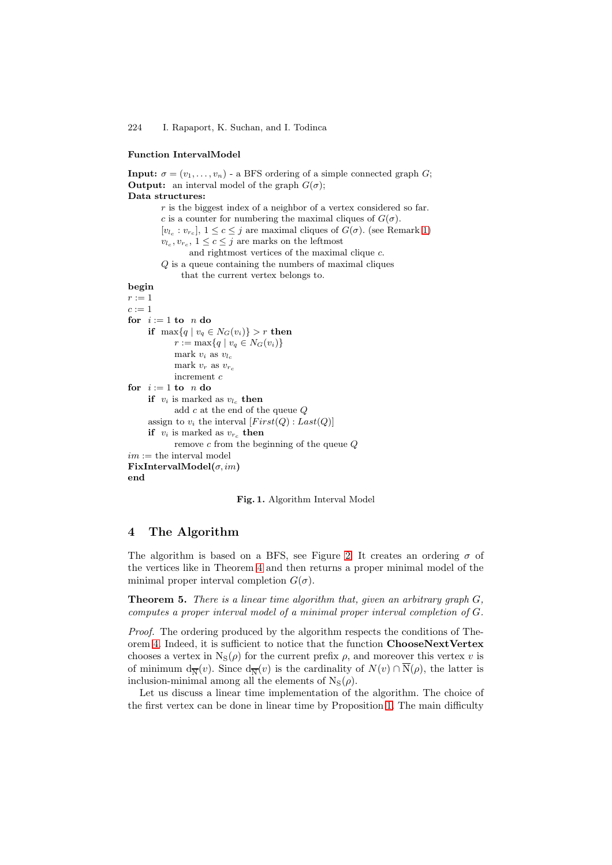#### **Function IntervalModel**

**Input:**  $\sigma = (v_1, \ldots, v_n)$  - a BFS ordering of a simple connected graph G; **Output:** an interval model of the graph  $G(\sigma)$ ; **Data structures:**  $r$  is the biggest index of a neighbor of a vertex considered so far. c is a counter for numbering the maximal cliques of  $G(\sigma)$ .  $[v_l, : v_{r_c}], 1 \leq c \leq j$  are maximal cliques of  $G(\sigma)$ . (see Remark [1\)](#page-3-3)  $v_{l_c}, v_{r_c}, 1 \leq c \leq j$  are marks on the leftmost and rightmost vertices of the maximal clique c. Q is a queue containing the numbers of maximal cliques that the current vertex belongs to. **begin**  $r:=1$  $c := 1$ **for**  $i := 1$  **to**  $n$  **do if**  $\max\{q \mid v_q \in N_G(v_i)\} > r$  **then**  $r := \max\{q \mid v_q \in N_G(v_i)\}\$ mark  $v_i$  as  $v_{l_c}$ mark  $v_r$  as  $v_{r_c}$ increment c **for**  $i := 1$  **to**  $n$  **do if**  $v_i$  is marked as  $v_{l_c}$  **then** add c at the end of the queue Q assign to  $v_i$  the interval  $[First(Q): Last(Q)]$ **if**  $v_i$  is marked as  $v_{r_c}$  **then** remove c from the beginning of the queue Q  $\,i\mathfrak{m}:=$  the interval model **FixIntervalModel(**σ, im**) end**

<span id="page-7-0"></span>

# **4 The Algorithm**

The algorithm is based on a BFS, see Figure [2.](#page-8-0) It creates an ordering  $\sigma$  of the vertices like in Theorem [4](#page-6-2) and then returns a proper minimal model of the minimal proper interval completion  $G(\sigma)$ .

**Theorem 5.** *There is a linear time algorithm that, given an arbitrary graph* G*, computes a proper interval model of a minimal proper interval completion of* G*.*

*Proof.* The ordering produced by the algorithm respects the conditions of Theorem [4.](#page-6-2) Indeed, it is sufficient to notice that the function **ChooseNextVertex** chooses a vertex in  $N_S(\rho)$  for the current prefix  $\rho$ , and moreover this vertex v is of minimum  $d_{\overline{N}}(v)$ . Since  $d_{\overline{N}}(v)$  is the cardinality of  $N(v) \cap \overline{N}(\rho)$ , the latter is inclusion-minimal among all the elements of  $N_S(\rho)$ .

Let us discuss a linear time implementation of the algorithm. The choice of the first vertex can be done in linear time by Proposition [1.](#page-3-2) The main difficulty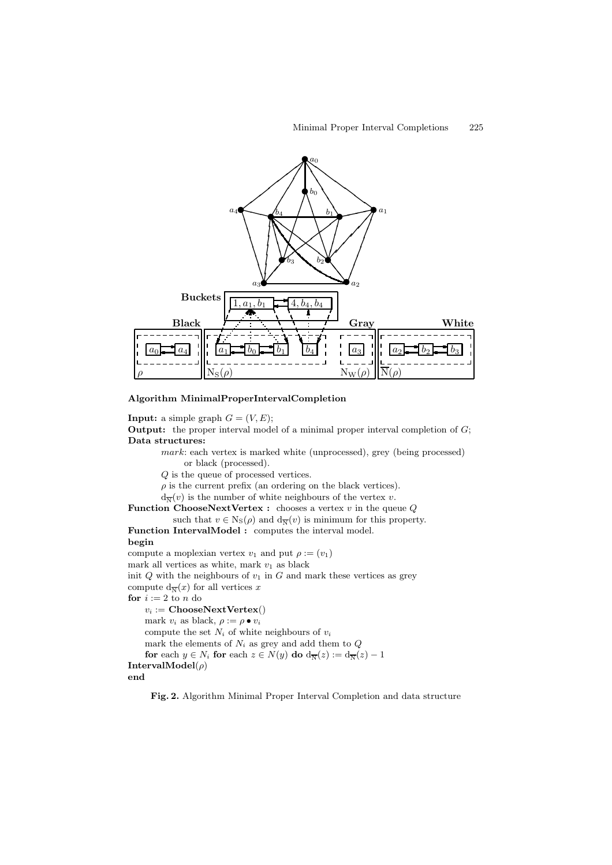

**Algorithm MinimalProperIntervalCompletion**

**Input:** a simple graph  $G = (V, E);$ 

**Output:** the proper interval model of a minimal proper interval completion of G; **Data structures:**

mark: each vertex is marked white (unprocessed), grey (being processed) or black (processed).

Q is the queue of processed vertices.

 $\rho$  is the current prefix (an ordering on the black vertices).

 $d_{\overline{N}}(v)$  is the number of white neighbours of the vertex v.

**Function ChooseNextVertex :** chooses a vertex  $v$  in the queue  $Q$ such that  $v \in \text{Ns}(\rho)$  and  $d_{\overline{N}}(v)$  is minimum for this property.

Function IntervalModel : computes the interval model. **begin**

compute a moplexian vertex  $v_1$  and put  $\rho := (v_1)$ 

mark all vertices as white, mark  $v_1$  as black

init  $Q$  with the neighbours of  $v_1$  in  $G$  and mark these vertices as grey compute  $d_{\overline{N}}(x)$  for all vertices x

**for**  $i := 2$  to n do

 $v_i := \textbf{ChooseNextVertex}()$ mark  $v_i$  as black,  $\rho := \rho \bullet v_i$ compute the set  $N_i$  of white neighbours of  $v_i$ mark the elements of  $N_i$  as grey and add them to  $Q$ **for** each  $y \in N_i$  **for** each  $z \in N(y)$  **do**  $d_{\overline{N}}(z) := d_{\overline{N}}(z) - 1$ **IntervalModel**(ρ)

<span id="page-8-0"></span>**end**

**Fig. 2.** Algorithm Minimal Proper Interval Completion and data structure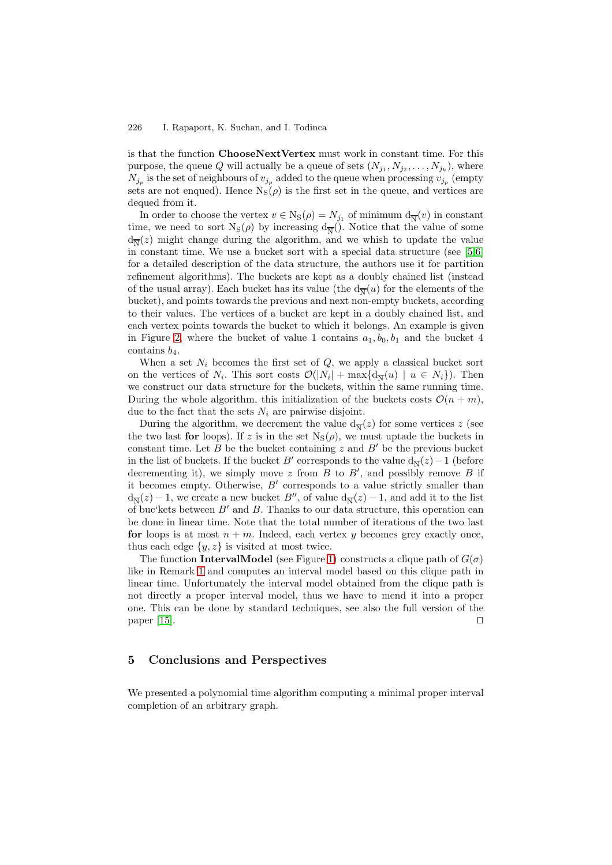is that the function **ChooseNextVertex** must work in constant time. For this purpose, the queue Q will actually be a queue of sets  $(N_{j_1}, N_{j_2}, \ldots, N_{j_k})$ , where  $N_{j_p}$  is the set of neighbours of  $v_{j_p}$  added to the queue when processing  $v_{j_p}$  (empty sets are not enqued). Hence  $N_S(\rho)$  is the first set in the queue, and vertices are dequed from it.

In order to choose the vertex  $v \in N_S(\rho) = N_{j_1}$  of minimum  $d_{\overline{N}}(v)$  in constant time, we need to sort  $N_S(\rho)$  by increasing  $d_{\overline{N}}($ ). Notice that the value of some  $d_{\overline{N}}(z)$  might change during the algorithm, and we whish to update the value in constant time. We use a bucket sort with a special data structure (see [\[5](#page-10-8)[,6\]](#page-10-9) for a detailed description of the data structure, the authors use it for partition refinement algorithms). The buckets are kept as a doubly chained list (instead of the usual array). Each bucket has its value (the  $d_{\overline{N}}(u)$  for the elements of the bucket), and points towards the previous and next non-empty buckets, according to their values. The vertices of a bucket are kept in a doubly chained list, and each vertex points towards the bucket to which it belongs. An example is given in Figure [2,](#page-8-0) where the bucket of value 1 contains  $a_1, b_0, b_1$  and the bucket 4 contains  $b_4$ .

When a set  $N_i$  becomes the first set of  $Q$ , we apply a classical bucket sort on the vertices of  $N_i$ . This sort costs  $\mathcal{O}(|N_i| + \max\{d_{\overline{N}}(u) \mid u \in N_i\})$ . Then we construct our data structure for the buckets, within the same running time. During the whole algorithm, this initialization of the buckets costs  $\mathcal{O}(n + m)$ , due to the fact that the sets  $N_i$  are pairwise disjoint.

During the algorithm, we decrement the value  $d_{\overline{N}}(z)$  for some vertices z (see the two last **for** loops). If z is in the set  $N_S(\rho)$ , we must uptade the buckets in constant time. Let B be the bucket containing z and  $B'$  be the previous bucket in the list of buckets. If the bucket  $B'$  corresponds to the value  $d_{\overline{N}}(z) - 1$  (before decrementing it), we simply move z from  $B$  to  $B'$ , and possibly remove  $B$  if it becomes empty. Otherwise,  $B'$  corresponds to a value strictly smaller than  $d_{\overline{N}}(z) - 1$ , we create a new bucket  $B''$ , of value  $d_{\overline{N}}(z) - 1$ , and add it to the list of buc'kets between  $B'$  and  $B$ . Thanks to our data structure, this operation can be done in linear time. Note that the total number of iterations of the two last **for** loops is at most  $n + m$ . Indeed, each vertex y becomes grey exactly once, thus each edge  $\{y, z\}$  is visited at most twice.

The function **IntervalModel** (see Figure [1\)](#page-7-0) constructs a clique path of  $G(\sigma)$ like in Remark [1](#page-3-3) and computes an interval model based on this clique path in linear time. Unfortunately the interval model obtained from the clique path is not directly a proper interval model, thus we have to mend it into a proper one. This can be done by standard techniques, see also the full version of the paper  $[15]$ .

# **5 Conclusions and Perspectives**

We presented a polynomial time algorithm computing a minimal proper interval completion of an arbitrary graph.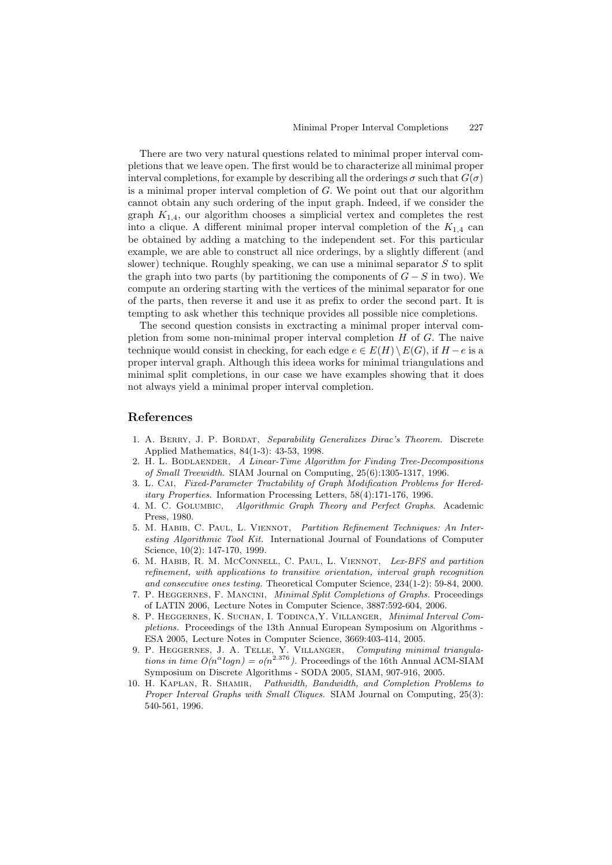There are two very natural questions related to minimal proper interval completions that we leave open. The first would be to characterize all minimal proper interval completions, for example by describing all the orderings  $\sigma$  such that  $G(\sigma)$ is a minimal proper interval completion of  $G$ . We point out that our algorithm cannot obtain any such ordering of the input graph. Indeed, if we consider the graph  $K_{1,4}$ , our algorithm chooses a simplicial vertex and completes the rest into a clique. A different minimal proper interval completion of the  $K_{1,4}$  can be obtained by adding a matching to the independent set. For this particular example, we are able to construct all nice orderings, by a slightly different (and slower) technique. Roughly speaking, we can use a minimal separator  $S$  to split the graph into two parts (by partitioning the components of  $G - S$  in two). We compute an ordering starting with the vertices of the minimal separator for one of the parts, then reverse it and use it as prefix to order the second part. It is tempting to ask whether this technique provides all possible nice completions.

The second question consists in exctracting a minimal proper interval completion from some non-minimal proper interval completion  $H$  of  $G$ . The naive technique would consist in checking, for each edge  $e \in E(H) \setminus E(G)$ , if  $H - e$  is a proper interval graph. Although this ideea works for minimal triangulations and minimal split completions, in our case we have examples showing that it does not always yield a minimal proper interval completion.

#### <span id="page-10-7"></span><span id="page-10-1"></span>**References**

- 1. A. Berry, J. P. Bordat, *Separability Generalizes Dirac's Theorem.* Discrete Applied Mathematics, 84(1-3): 43-53, 1998.
- 2. H. L. Bodlaender, *A Linear-Time Algorithm for Finding Tree-Decompositions of Small Treewidth.* SIAM Journal on Computing, 25(6):1305-1317, 1996.
- <span id="page-10-0"></span>3. L. Cai, *Fixed-Parameter Tractability of Graph Modification Problems for Hereditary Properties.* Information Processing Letters, 58(4):171-176, 1996.
- <span id="page-10-6"></span>4. M. C. Golumbic, *Algorithmic Graph Theory and Perfect Graphs*. Academic Press, 1980.
- <span id="page-10-8"></span>5. M. Habib, C. Paul, L. Viennot, *Partition Refinement Techniques: An Interesting Algorithmic Tool Kit.* International Journal of Foundations of Computer Science, 10(2): 147-170, 1999.
- <span id="page-10-9"></span>6. M. Habib, R. M. McConnell, C. Paul, L. Viennot, *Lex-BFS and partition refinement, with applications to transitive orientation, interval graph recognition and consecutive ones testing.* Theoretical Computer Science, 234(1-2): 59-84, 2000.
- <span id="page-10-5"></span>7. P. Heggernes, F. Mancini, *Minimal Split Completions of Graphs.* Proceedings of LATIN 2006, Lecture Notes in Computer Science, 3887:592-604, 2006.
- <span id="page-10-4"></span>8. P. Heggernes, K. Suchan, I. Todinca,Y. Villanger, *Minimal Interval Completions.* Proceedings of the 13th Annual European Symposium on Algorithms - ESA 2005, Lecture Notes in Computer Science, 3669:403-414, 2005.
- <span id="page-10-3"></span>9. P. HEGGERNES, J. A. TELLE, Y. VILLANGER, *Computing minimal triangulations in time*  $O(n^{\alpha}logn) = o(n^{2.376})$ *.* Proceedings of the 16th Annual ACM-SIAM Symposium on Discrete Algorithms. SODA 2005, SIAM 907, 916, 2005 Symposium on Discrete Algorithms - SODA 2005, SIAM, 907-916, 2005.
- <span id="page-10-2"></span>10. H. Kaplan, R. Shamir, *Pathwidth, Bandwidth, and Completion Problems to Proper Interval Graphs with Small Cliques.* SIAM Journal on Computing, 25(3): 540-561, 1996.